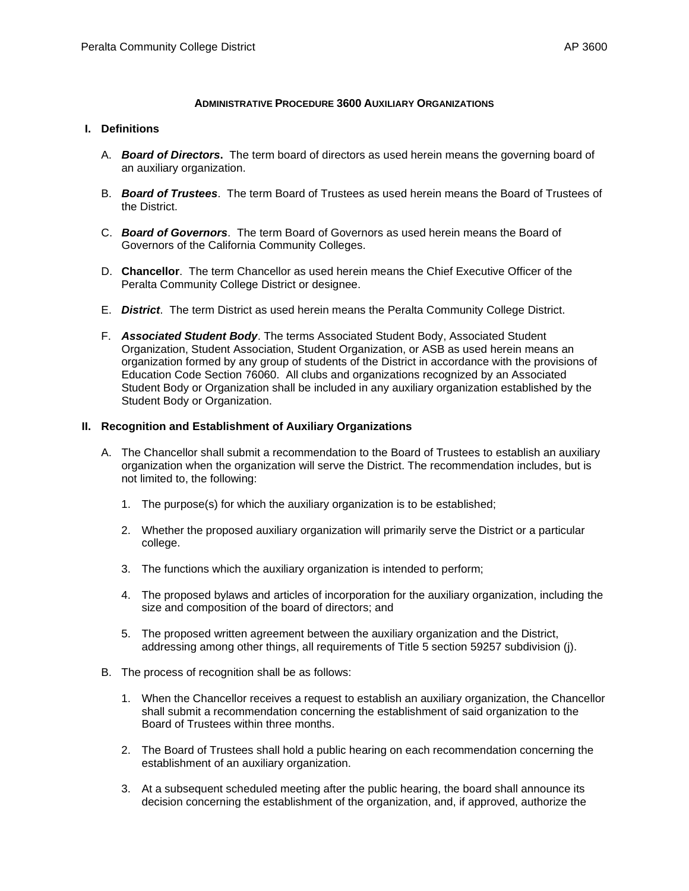#### **ADMINISTRATIVE PROCEDURE 3600 AUXILIARY ORGANIZATIONS**

#### **I. Definitions**

- A. *Board of Directors***.** The term board of directors as used herein means the governing board of an auxiliary organization.
- B. *Board of Trustees*. The term Board of Trustees as used herein means the Board of Trustees of the District.
- C. *Board of Governors*. The term Board of Governors as used herein means the Board of Governors of the California Community Colleges.
- D. **Chancellor**. The term Chancellor as used herein means the Chief Executive Officer of the Peralta Community College District or designee.
- E. *District*. The term District as used herein means the Peralta Community College District.
- F. *Associated Student Body*. The terms Associated Student Body, Associated Student Organization, Student Association, Student Organization, or ASB as used herein means an organization formed by any group of students of the District in accordance with the provisions of Education Code Section 76060. All clubs and organizations recognized by an Associated Student Body or Organization shall be included in any auxiliary organization established by the Student Body or Organization.

## **II. Recognition and Establishment of Auxiliary Organizations**

- A. The Chancellor shall submit a recommendation to the Board of Trustees to establish an auxiliary organization when the organization will serve the District. The recommendation includes, but is not limited to, the following:
	- 1. The purpose(s) for which the auxiliary organization is to be established;
	- 2. Whether the proposed auxiliary organization will primarily serve the District or a particular college.
	- 3. The functions which the auxiliary organization is intended to perform;
	- 4. The proposed bylaws and articles of incorporation for the auxiliary organization, including the size and composition of the board of directors; and
	- 5. The proposed written agreement between the auxiliary organization and the District, addressing among other things, all requirements of Title 5 section 59257 subdivision (j).
- B. The process of recognition shall be as follows:
	- 1. When the Chancellor receives a request to establish an auxiliary organization, the Chancellor shall submit a recommendation concerning the establishment of said organization to the Board of Trustees within three months.
	- 2. The Board of Trustees shall hold a public hearing on each recommendation concerning the establishment of an auxiliary organization.
	- 3. At a subsequent scheduled meeting after the public hearing, the board shall announce its decision concerning the establishment of the organization, and, if approved, authorize the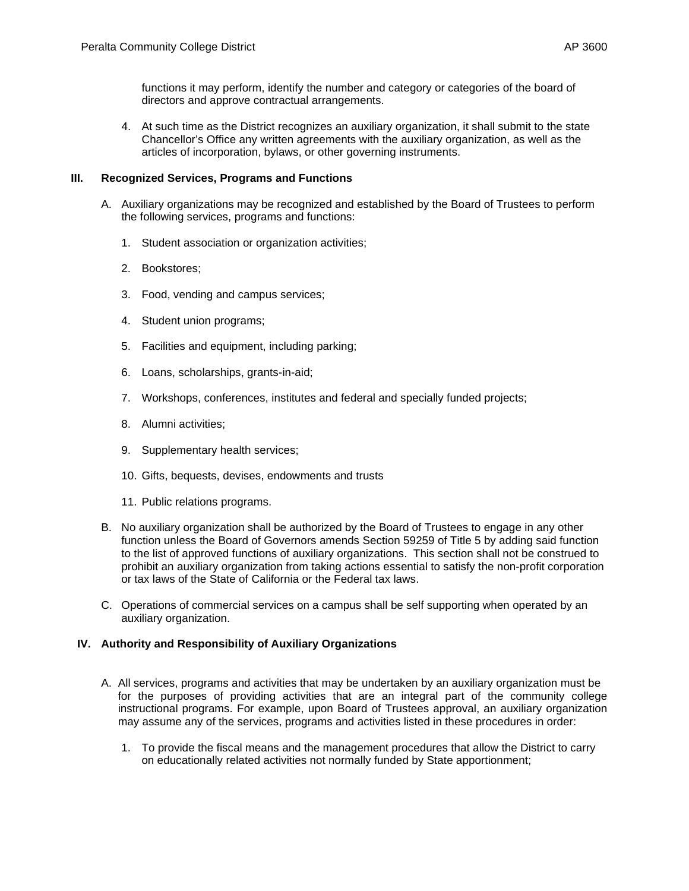functions it may perform, identify the number and category or categories of the board of directors and approve contractual arrangements.

4. At such time as the District recognizes an auxiliary organization, it shall submit to the state Chancellor's Office any written agreements with the auxiliary organization, as well as the articles of incorporation, bylaws, or other governing instruments.

## **III. Recognized Services, Programs and Functions**

- A. Auxiliary organizations may be recognized and established by the Board of Trustees to perform the following services, programs and functions:
	- 1. Student association or organization activities;
	- 2. Bookstores;
	- 3. Food, vending and campus services;
	- 4. Student union programs;
	- 5. Facilities and equipment, including parking;
	- 6. Loans, scholarships, grants-in-aid;
	- 7. Workshops, conferences, institutes and federal and specially funded projects;
	- 8. Alumni activities;
	- 9. Supplementary health services;
	- 10. Gifts, bequests, devises, endowments and trusts
	- 11. Public relations programs.
- B. No auxiliary organization shall be authorized by the Board of Trustees to engage in any other function unless the Board of Governors amends Section 59259 of Title 5 by adding said function to the list of approved functions of auxiliary organizations. This section shall not be construed to prohibit an auxiliary organization from taking actions essential to satisfy the non-profit corporation or tax laws of the State of California or the Federal tax laws.
- C. Operations of commercial services on a campus shall be self supporting when operated by an auxiliary organization.

# **IV. Authority and Responsibility of Auxiliary Organizations**

- A. All services, programs and activities that may be undertaken by an auxiliary organization must be for the purposes of providing activities that are an integral part of the community college instructional programs. For example, upon Board of Trustees approval, an auxiliary organization may assume any of the services, programs and activities listed in these procedures in order:
	- 1. To provide the fiscal means and the management procedures that allow the District to carry on educationally related activities not normally funded by State apportionment;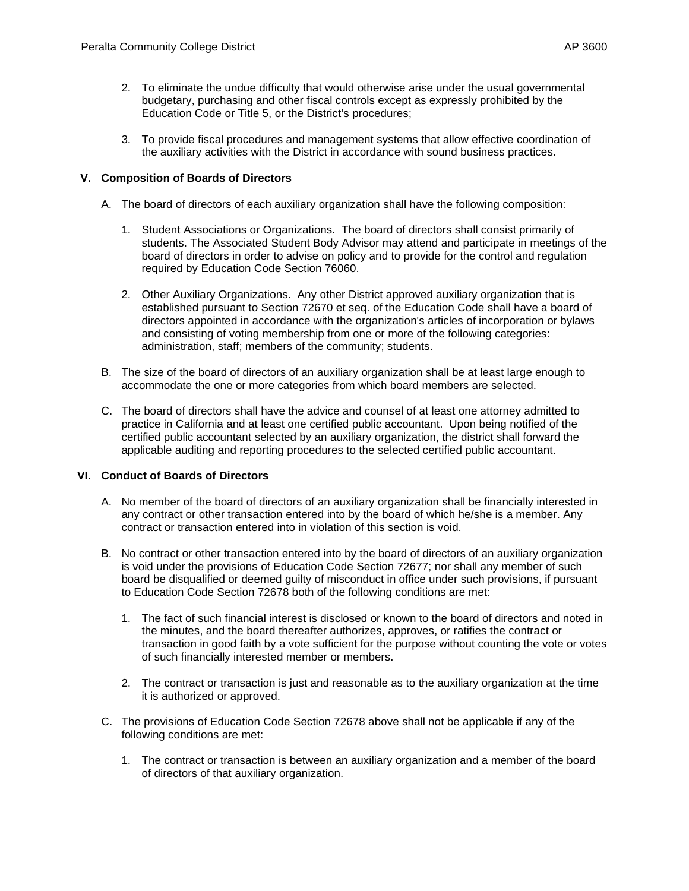- 2. To eliminate the undue difficulty that would otherwise arise under the usual governmental budgetary, purchasing and other fiscal controls except as expressly prohibited by the Education Code or Title 5, or the District's procedures;
- 3. To provide fiscal procedures and management systems that allow effective coordination of the auxiliary activities with the District in accordance with sound business practices.

# **V. Composition of Boards of Directors**

- A. The board of directors of each auxiliary organization shall have the following composition:
	- 1. Student Associations or Organizations. The board of directors shall consist primarily of students. The Associated Student Body Advisor may attend and participate in meetings of the board of directors in order to advise on policy and to provide for the control and regulation required by Education Code Section 76060.
	- 2. Other Auxiliary Organizations. Any other District approved auxiliary organization that is established pursuant to Section 72670 et seq. of the Education Code shall have a board of directors appointed in accordance with the organization's articles of incorporation or bylaws and consisting of voting membership from one or more of the following categories: administration, staff; members of the community; students.
- B. The size of the board of directors of an auxiliary organization shall be at least large enough to accommodate the one or more categories from which board members are selected.
- C. The board of directors shall have the advice and counsel of at least one attorney admitted to practice in California and at least one certified public accountant. Upon being notified of the certified public accountant selected by an auxiliary organization, the district shall forward the applicable auditing and reporting procedures to the selected certified public accountant.

# **VI. Conduct of Boards of Directors**

- A. No member of the board of directors of an auxiliary organization shall be financially interested in any contract or other transaction entered into by the board of which he/she is a member. Any contract or transaction entered into in violation of this section is void.
- B. No contract or other transaction entered into by the board of directors of an auxiliary organization is void under the provisions of Education Code Section 72677; nor shall any member of such board be disqualified or deemed guilty of misconduct in office under such provisions, if pursuant to Education Code Section 72678 both of the following conditions are met:
	- 1. The fact of such financial interest is disclosed or known to the board of directors and noted in the minutes, and the board thereafter authorizes, approves, or ratifies the contract or transaction in good faith by a vote sufficient for the purpose without counting the vote or votes of such financially interested member or members.
	- 2. The contract or transaction is just and reasonable as to the auxiliary organization at the time it is authorized or approved.
- C. The provisions of Education Code Section 72678 above shall not be applicable if any of the following conditions are met:
	- 1. The contract or transaction is between an auxiliary organization and a member of the board of directors of that auxiliary organization.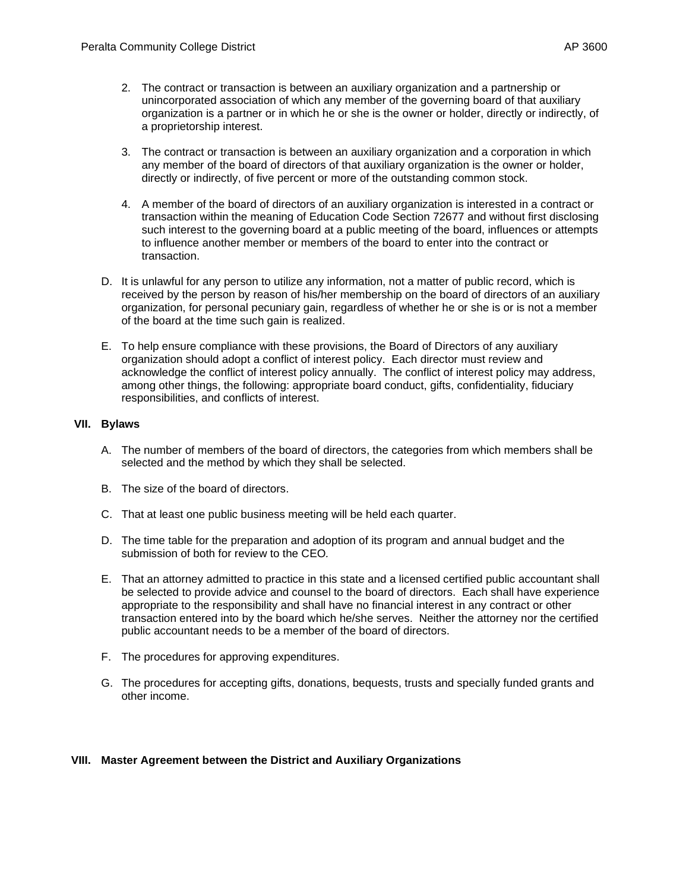- 2. The contract or transaction is between an auxiliary organization and a partnership or unincorporated association of which any member of the governing board of that auxiliary organization is a partner or in which he or she is the owner or holder, directly or indirectly, of a proprietorship interest.
- 3. The contract or transaction is between an auxiliary organization and a corporation in which any member of the board of directors of that auxiliary organization is the owner or holder, directly or indirectly, of five percent or more of the outstanding common stock.
- 4. A member of the board of directors of an auxiliary organization is interested in a contract or transaction within the meaning of Education Code Section 72677 and without first disclosing such interest to the governing board at a public meeting of the board, influences or attempts to influence another member or members of the board to enter into the contract or transaction.
- D. It is unlawful for any person to utilize any information, not a matter of public record, which is received by the person by reason of his/her membership on the board of directors of an auxiliary organization, for personal pecuniary gain, regardless of whether he or she is or is not a member of the board at the time such gain is realized.
- E. To help ensure compliance with these provisions, the Board of Directors of any auxiliary organization should adopt a conflict of interest policy. Each director must review and acknowledge the conflict of interest policy annually. The conflict of interest policy may address, among other things, the following: appropriate board conduct, gifts, confidentiality, fiduciary responsibilities, and conflicts of interest.

## **VII. Bylaws**

- A. The number of members of the board of directors, the categories from which members shall be selected and the method by which they shall be selected.
- B. The size of the board of directors.
- C. That at least one public business meeting will be held each quarter.
- D. The time table for the preparation and adoption of its program and annual budget and the submission of both for review to the CEO*.*
- E. That an attorney admitted to practice in this state and a licensed certified public accountant shall be selected to provide advice and counsel to the board of directors. Each shall have experience appropriate to the responsibility and shall have no financial interest in any contract or other transaction entered into by the board which he/she serves. Neither the attorney nor the certified public accountant needs to be a member of the board of directors.
- F. The procedures for approving expenditures.
- G. The procedures for accepting gifts, donations, bequests, trusts and specially funded grants and other income.

### **VIII. Master Agreement between the District and Auxiliary Organizations**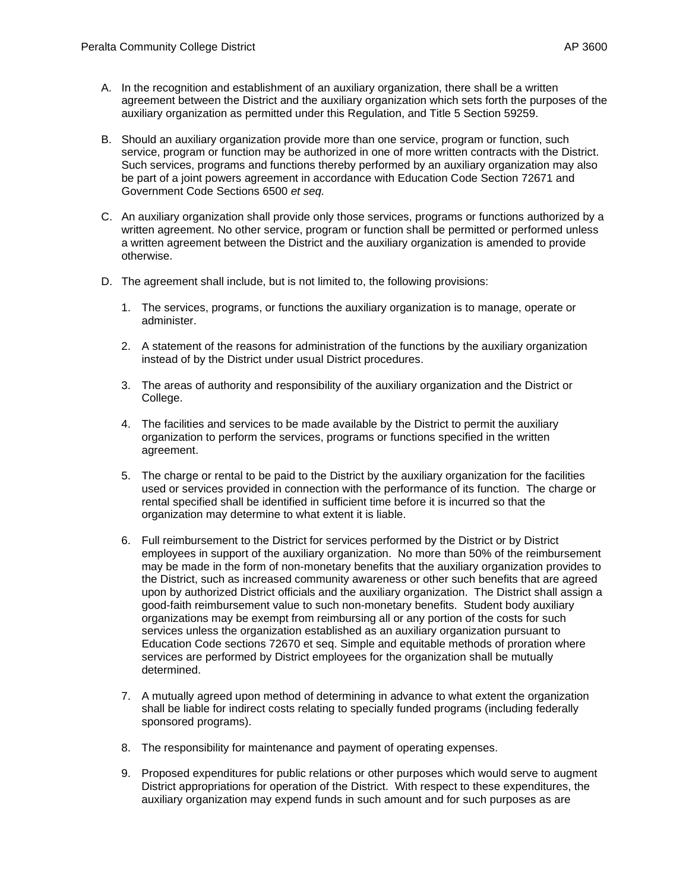- A. In the recognition and establishment of an auxiliary organization, there shall be a written agreement between the District and the auxiliary organization which sets forth the purposes of the auxiliary organization as permitted under this Regulation, and Title 5 Section 59259.
- B. Should an auxiliary organization provide more than one service, program or function, such service, program or function may be authorized in one of more written contracts with the District. Such services, programs and functions thereby performed by an auxiliary organization may also be part of a joint powers agreement in accordance with Education Code Section 72671 and Government Code Sections 6500 *et seq.*
- C. An auxiliary organization shall provide only those services, programs or functions authorized by a written agreement. No other service, program or function shall be permitted or performed unless a written agreement between the District and the auxiliary organization is amended to provide otherwise.
- D. The agreement shall include, but is not limited to, the following provisions:
	- 1. The services, programs, or functions the auxiliary organization is to manage, operate or administer.
	- 2. A statement of the reasons for administration of the functions by the auxiliary organization instead of by the District under usual District procedures.
	- 3. The areas of authority and responsibility of the auxiliary organization and the District or College.
	- 4. The facilities and services to be made available by the District to permit the auxiliary organization to perform the services, programs or functions specified in the written agreement.
	- 5. The charge or rental to be paid to the District by the auxiliary organization for the facilities used or services provided in connection with the performance of its function. The charge or rental specified shall be identified in sufficient time before it is incurred so that the organization may determine to what extent it is liable.
	- 6. Full reimbursement to the District for services performed by the District or by District employees in support of the auxiliary organization. No more than 50% of the reimbursement may be made in the form of non-monetary benefits that the auxiliary organization provides to the District, such as increased community awareness or other such benefits that are agreed upon by authorized District officials and the auxiliary organization. The District shall assign a good-faith reimbursement value to such non-monetary benefits. Student body auxiliary organizations may be exempt from reimbursing all or any portion of the costs for such services unless the organization established as an auxiliary organization pursuant to Education Code sections 72670 et seq. Simple and equitable methods of proration where services are performed by District employees for the organization shall be mutually determined.
	- 7. A mutually agreed upon method of determining in advance to what extent the organization shall be liable for indirect costs relating to specially funded programs (including federally sponsored programs).
	- 8. The responsibility for maintenance and payment of operating expenses.
	- 9. Proposed expenditures for public relations or other purposes which would serve to augment District appropriations for operation of the District. With respect to these expenditures, the auxiliary organization may expend funds in such amount and for such purposes as are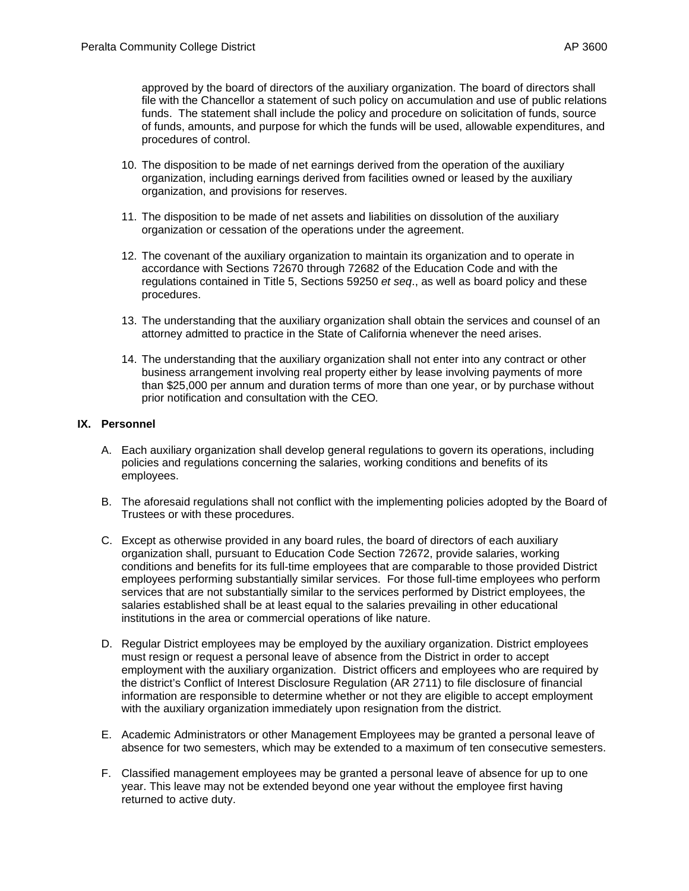approved by the board of directors of the auxiliary organization. The board of directors shall file with the Chancellor a statement of such policy on accumulation and use of public relations funds. The statement shall include the policy and procedure on solicitation of funds, source of funds, amounts, and purpose for which the funds will be used, allowable expenditures, and procedures of control.

- 10. The disposition to be made of net earnings derived from the operation of the auxiliary organization, including earnings derived from facilities owned or leased by the auxiliary organization, and provisions for reserves.
- 11. The disposition to be made of net assets and liabilities on dissolution of the auxiliary organization or cessation of the operations under the agreement.
- 12. The covenant of the auxiliary organization to maintain its organization and to operate in accordance with Sections 72670 through 72682 of the Education Code and with the regulations contained in Title 5, Sections 59250 *et seq*., as well as board policy and these procedures.
- 13. The understanding that the auxiliary organization shall obtain the services and counsel of an attorney admitted to practice in the State of California whenever the need arises.
- 14. The understanding that the auxiliary organization shall not enter into any contract or other business arrangement involving real property either by lease involving payments of more than \$25,000 per annum and duration terms of more than one year, or by purchase without prior notification and consultation with the CEO*.*

## **IX. Personnel**

- A. Each auxiliary organization shall develop general regulations to govern its operations, including policies and regulations concerning the salaries, working conditions and benefits of its employees.
- B. The aforesaid regulations shall not conflict with the implementing policies adopted by the Board of Trustees or with these procedures.
- C. Except as otherwise provided in any board rules, the board of directors of each auxiliary organization shall, pursuant to Education Code Section 72672, provide salaries, working conditions and benefits for its full-time employees that are comparable to those provided District employees performing substantially similar services. For those full-time employees who perform services that are not substantially similar to the services performed by District employees, the salaries established shall be at least equal to the salaries prevailing in other educational institutions in the area or commercial operations of like nature.
- D. Regular District employees may be employed by the auxiliary organization. District employees must resign or request a personal leave of absence from the District in order to accept employment with the auxiliary organization. District officers and employees who are required by the district's Conflict of Interest Disclosure Regulation (AR 2711) to file disclosure of financial information are responsible to determine whether or not they are eligible to accept employment with the auxiliary organization immediately upon resignation from the district.
- E. Academic Administrators or other Management Employees may be granted a personal leave of absence for two semesters, which may be extended to a maximum of ten consecutive semesters.
- F. Classified management employees may be granted a personal leave of absence for up to one year. This leave may not be extended beyond one year without the employee first having returned to active duty.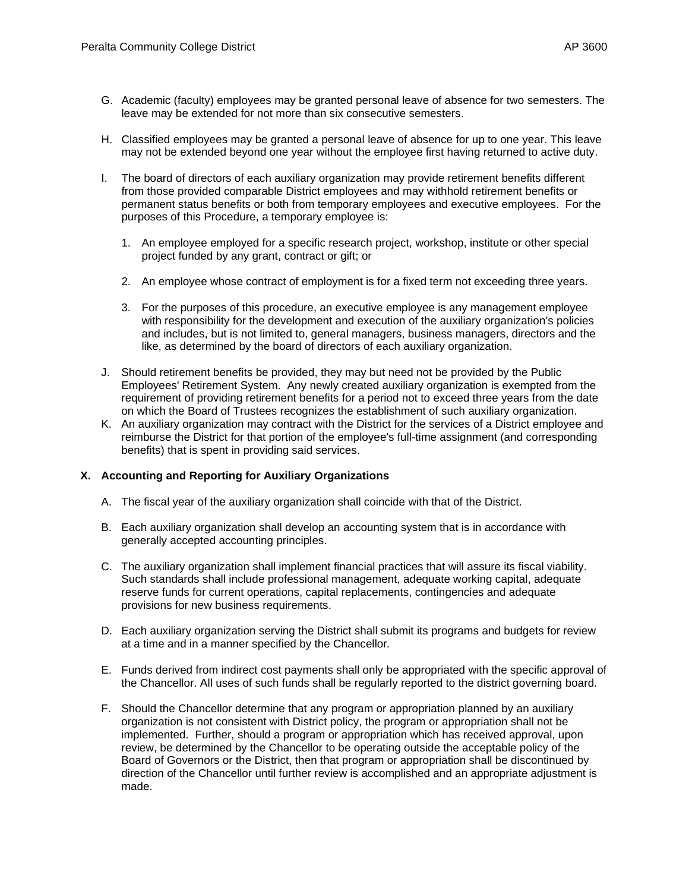- G. Academic (faculty) employees may be granted personal leave of absence for two semesters. The leave may be extended for not more than six consecutive semesters.
- H. Classified employees may be granted a personal leave of absence for up to one year. This leave may not be extended beyond one year without the employee first having returned to active duty.
- I. The board of directors of each auxiliary organization may provide retirement benefits different from those provided comparable District employees and may withhold retirement benefits or permanent status benefits or both from temporary employees and executive employees. For the purposes of this Procedure, a temporary employee is:
	- 1. An employee employed for a specific research project, workshop, institute or other special project funded by any grant, contract or gift; or
	- 2. An employee whose contract of employment is for a fixed term not exceeding three years.
	- 3. For the purposes of this procedure, an executive employee is any management employee with responsibility for the development and execution of the auxiliary organization's policies and includes, but is not limited to, general managers, business managers, directors and the like, as determined by the board of directors of each auxiliary organization.
- J. Should retirement benefits be provided, they may but need not be provided by the Public Employees' Retirement System. Any newly created auxiliary organization is exempted from the requirement of providing retirement benefits for a period not to exceed three years from the date on which the Board of Trustees recognizes the establishment of such auxiliary organization.
- K. An auxiliary organization may contract with the District for the services of a District employee and reimburse the District for that portion of the employee's full-time assignment (and corresponding benefits) that is spent in providing said services.

# **X. Accounting and Reporting for Auxiliary Organizations**

- A. The fiscal year of the auxiliary organization shall coincide with that of the District.
- B. Each auxiliary organization shall develop an accounting system that is in accordance with generally accepted accounting principles.
- C. The auxiliary organization shall implement financial practices that will assure its fiscal viability. Such standards shall include professional management, adequate working capital, adequate reserve funds for current operations, capital replacements, contingencies and adequate provisions for new business requirements.
- D. Each auxiliary organization serving the District shall submit its programs and budgets for review at a time and in a manner specified by the Chancellor*.*
- E. Funds derived from indirect cost payments shall only be appropriated with the specific approval of the Chancellor. All uses of such funds shall be regularly reported to the district governing board.
- F. Should the Chancellor determine that any program or appropriation planned by an auxiliary organization is not consistent with District policy, the program or appropriation shall not be implemented. Further, should a program or appropriation which has received approval, upon review, be determined by the Chancellor to be operating outside the acceptable policy of the Board of Governors or the District, then that program or appropriation shall be discontinued by direction of the Chancellor until further review is accomplished and an appropriate adjustment is made.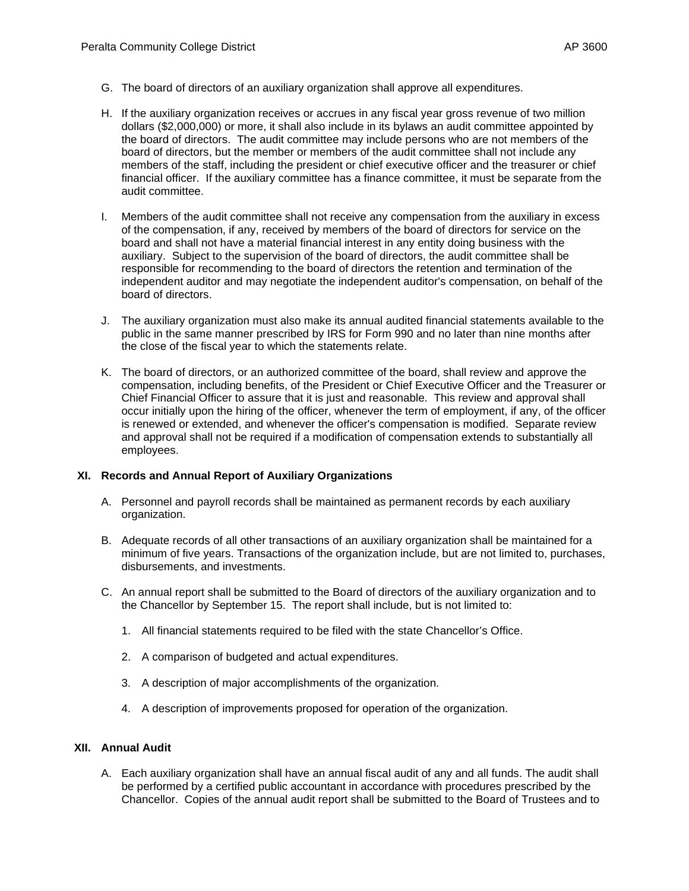- G. The board of directors of an auxiliary organization shall approve all expenditures.
- H. If the auxiliary organization receives or accrues in any fiscal year gross revenue of two million dollars (\$2,000,000) or more, it shall also include in its bylaws an audit committee appointed by the board of directors. The audit committee may include persons who are not members of the board of directors, but the member or members of the audit committee shall not include any members of the staff, including the president or chief executive officer and the treasurer or chief financial officer. If the auxiliary committee has a finance committee, it must be separate from the audit committee.
- I. Members of the audit committee shall not receive any compensation from the auxiliary in excess of the compensation, if any, received by members of the board of directors for service on the board and shall not have a material financial interest in any entity doing business with the auxiliary. Subject to the supervision of the board of directors, the audit committee shall be responsible for recommending to the board of directors the retention and termination of the independent auditor and may negotiate the independent auditor's compensation, on behalf of the board of directors.
- J. The auxiliary organization must also make its annual audited financial statements available to the public in the same manner prescribed by IRS for Form 990 and no later than nine months after the close of the fiscal year to which the statements relate.
- K. The board of directors, or an authorized committee of the board, shall review and approve the compensation, including benefits, of the President or Chief Executive Officer and the Treasurer or Chief Financial Officer to assure that it is just and reasonable. This review and approval shall occur initially upon the hiring of the officer, whenever the term of employment, if any, of the officer is renewed or extended, and whenever the officer's compensation is modified. Separate review and approval shall not be required if a modification of compensation extends to substantially all employees.

## **XI. Records and Annual Report of Auxiliary Organizations**

- A. Personnel and payroll records shall be maintained as permanent records by each auxiliary organization.
- B. Adequate records of all other transactions of an auxiliary organization shall be maintained for a minimum of five years. Transactions of the organization include, but are not limited to, purchases, disbursements, and investments.
- C. An annual report shall be submitted to the Board of directors of the auxiliary organization and to the Chancellor by September 15. The report shall include, but is not limited to:
	- 1. All financial statements required to be filed with the state Chancellor's Office.
	- 2. A comparison of budgeted and actual expenditures.
	- 3. A description of major accomplishments of the organization.
	- 4. A description of improvements proposed for operation of the organization.

### **XII. Annual Audit**

A. Each auxiliary organization shall have an annual fiscal audit of any and all funds. The audit shall be performed by a certified public accountant in accordance with procedures prescribed by the Chancellor.Copies of the annual audit report shall be submitted to the Board of Trustees and to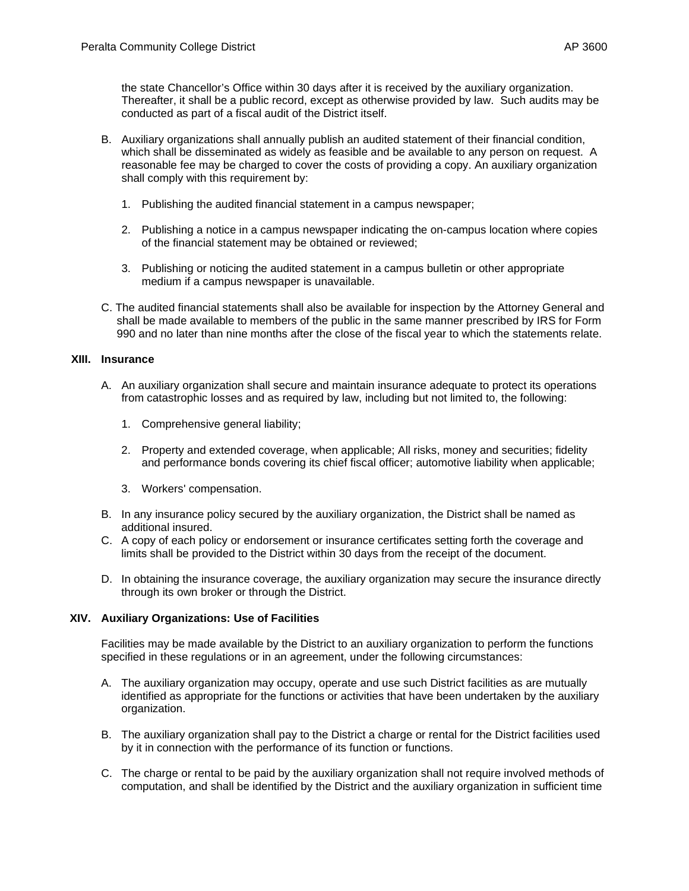the state Chancellor's Office within 30 days after it is received by the auxiliary organization. Thereafter, it shall be a public record, except as otherwise provided by law. Such audits may be conducted as part of a fiscal audit of the District itself.

- B. Auxiliary organizations shall annually publish an audited statement of their financial condition, which shall be disseminated as widely as feasible and be available to any person on request. A reasonable fee may be charged to cover the costs of providing a copy. An auxiliary organization shall comply with this requirement by:
	- 1. Publishing the audited financial statement in a campus newspaper;
	- 2. Publishing a notice in a campus newspaper indicating the on-campus location where copies of the financial statement may be obtained or reviewed;
	- 3. Publishing or noticing the audited statement in a campus bulletin or other appropriate medium if a campus newspaper is unavailable.
- C. The audited financial statements shall also be available for inspection by the Attorney General and shall be made available to members of the public in the same manner prescribed by IRS for Form 990 and no later than nine months after the close of the fiscal year to which the statements relate.

## **XIII. Insurance**

- A. An auxiliary organization shall secure and maintain insurance adequate to protect its operations from catastrophic losses and as required by law, including but not limited to, the following:
	- 1. Comprehensive general liability;
	- 2. Property and extended coverage, when applicable; All risks, money and securities; fidelity and performance bonds covering its chief fiscal officer; automotive liability when applicable;
	- 3. Workers' compensation.
- B. In any insurance policy secured by the auxiliary organization, the District shall be named as additional insured.
- C. A copy of each policy or endorsement or insurance certificates setting forth the coverage and limits shall be provided to the District within 30 days from the receipt of the document.
- D. In obtaining the insurance coverage, the auxiliary organization may secure the insurance directly through its own broker or through the District.

### **XIV. Auxiliary Organizations: Use of Facilities**

Facilities may be made available by the District to an auxiliary organization to perform the functions specified in these regulations or in an agreement, under the following circumstances:

- A. The auxiliary organization may occupy, operate and use such District facilities as are mutually identified as appropriate for the functions or activities that have been undertaken by the auxiliary organization.
- B. The auxiliary organization shall pay to the District a charge or rental for the District facilities used by it in connection with the performance of its function or functions.
- C. The charge or rental to be paid by the auxiliary organization shall not require involved methods of computation, and shall be identified by the District and the auxiliary organization in sufficient time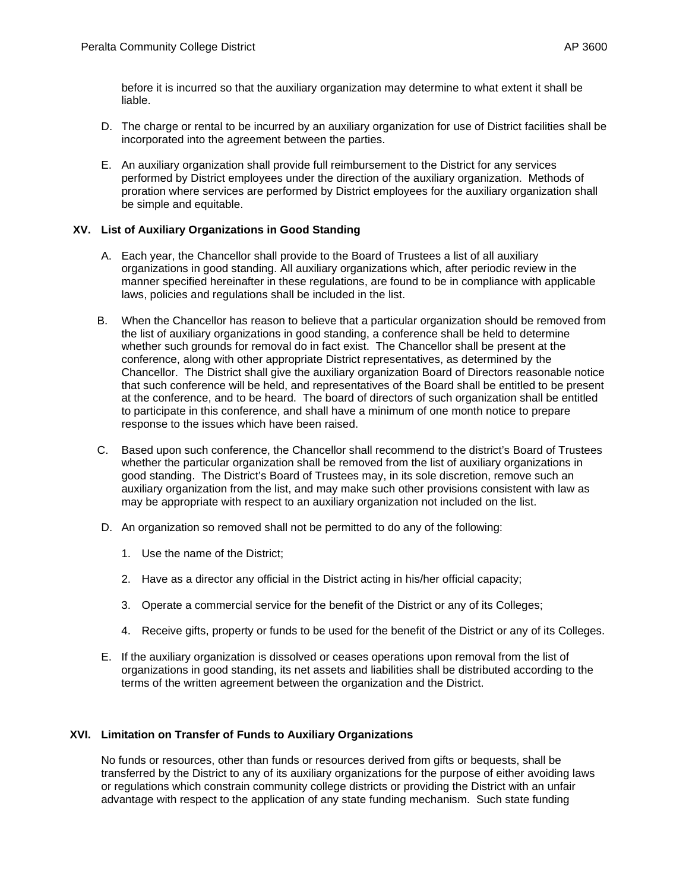before it is incurred so that the auxiliary organization may determine to what extent it shall be liable.

- D. The charge or rental to be incurred by an auxiliary organization for use of District facilities shall be incorporated into the agreement between the parties.
- E. An auxiliary organization shall provide full reimbursement to the District for any services performed by District employees under the direction of the auxiliary organization. Methods of proration where services are performed by District employees for the auxiliary organization shall be simple and equitable.

# **XV. List of Auxiliary Organizations in Good Standing**

- A. Each year, the Chancellor shall provide to the Board of Trustees a list of all auxiliary organizations in good standing. All auxiliary organizations which, after periodic review in the manner specified hereinafter in these regulations, are found to be in compliance with applicable laws, policies and regulations shall be included in the list.
- B. When the Chancellor has reason to believe that a particular organization should be removed from the list of auxiliary organizations in good standing, a conference shall be held to determine whether such grounds for removal do in fact exist. The Chancellor shall be present at the conference, along with other appropriate District representatives, as determined by the Chancellor. The District shall give the auxiliary organization Board of Directors reasonable notice that such conference will be held, and representatives of the Board shall be entitled to be present at the conference, and to be heard. The board of directors of such organization shall be entitled to participate in this conference, and shall have a minimum of one month notice to prepare response to the issues which have been raised.
- C. Based upon such conference, the Chancellor shall recommend to the district's Board of Trustees whether the particular organization shall be removed from the list of auxiliary organizations in good standing. The District's Board of Trustees may, in its sole discretion, remove such an auxiliary organization from the list, and may make such other provisions consistent with law as may be appropriate with respect to an auxiliary organization not included on the list.
- D. An organization so removed shall not be permitted to do any of the following:
	- 1. Use the name of the District;
	- 2. Have as a director any official in the District acting in his/her official capacity;
	- 3. Operate a commercial service for the benefit of the District or any of its Colleges;
	- 4. Receive gifts, property or funds to be used for the benefit of the District or any of its Colleges.
- E. If the auxiliary organization is dissolved or ceases operations upon removal from the list of organizations in good standing, its net assets and liabilities shall be distributed according to the terms of the written agreement between the organization and the District.

### **XVI. Limitation on Transfer of Funds to Auxiliary Organizations**

No funds or resources, other than funds or resources derived from gifts or bequests, shall be transferred by the District to any of its auxiliary organizations for the purpose of either avoiding laws or regulations which constrain community college districts or providing the District with an unfair advantage with respect to the application of any state funding mechanism. Such state funding